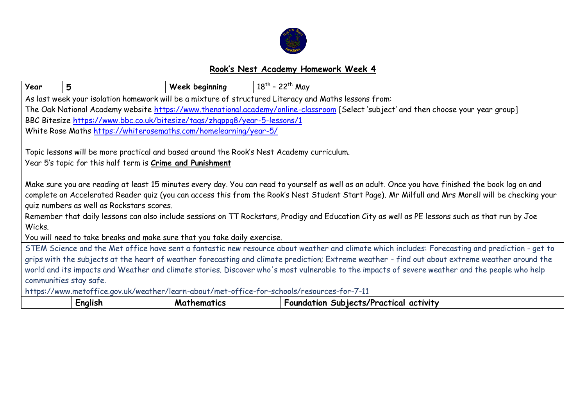

## **Rook's Nest Academy Homework Week 4**

| Year                                                                                                                                              | 5                                                                                         | Week beginning     | $18^{th}$ - 22 <sup>th</sup> May                                                                                                                   |
|---------------------------------------------------------------------------------------------------------------------------------------------------|-------------------------------------------------------------------------------------------|--------------------|----------------------------------------------------------------------------------------------------------------------------------------------------|
| As last week your isolation homework will be a mixture of structured Literacy and Maths lessons from:                                             |                                                                                           |                    |                                                                                                                                                    |
| The Oak National Academy website https://www.thenational.academy/online-classroom [Select 'subject' and then choose your year group]              |                                                                                           |                    |                                                                                                                                                    |
|                                                                                                                                                   | BBC Bitesize https://www.bbc.co.uk/bitesize/tags/zhqppq8/year-5-lessons/1                 |                    |                                                                                                                                                    |
|                                                                                                                                                   | White Rose Maths https://whiterosemaths.com/homelearning/year-5/                          |                    |                                                                                                                                                    |
|                                                                                                                                                   |                                                                                           |                    |                                                                                                                                                    |
|                                                                                                                                                   | Topic lessons will be more practical and based around the Rook's Nest Academy curriculum. |                    |                                                                                                                                                    |
|                                                                                                                                                   | Year 5's topic for this half term is Crime and Punishment                                 |                    |                                                                                                                                                    |
|                                                                                                                                                   |                                                                                           |                    |                                                                                                                                                    |
| Make sure you are reading at least 15 minutes every day. You can read to yourself as well as an adult. Once you have finished the book log on and |                                                                                           |                    |                                                                                                                                                    |
|                                                                                                                                                   |                                                                                           |                    | complete an Accelerated Reader quiz (you can access this from the Rook's Nest Student Start Page). Mr Milfull and Mrs Morell will be checking your |
| quiz numbers as well as Rockstars scores.                                                                                                         |                                                                                           |                    |                                                                                                                                                    |
|                                                                                                                                                   |                                                                                           |                    | Remember that daily lessons can also include sessions on TT Rockstars, Prodigy and Education City as well as PE lessons such as that run by Joe    |
| Wicks.                                                                                                                                            |                                                                                           |                    |                                                                                                                                                    |
| You will need to take breaks and make sure that you take daily exercise.                                                                          |                                                                                           |                    |                                                                                                                                                    |
| STEM Science and the Met office have sent a fantastic new resource about weather and climate which includes: Forecasting and prediction - get to  |                                                                                           |                    |                                                                                                                                                    |
| grips with the subjects at the heart of weather forecasting and climate prediction; Extreme weather - find out about extreme weather around the   |                                                                                           |                    |                                                                                                                                                    |
| world and its impacts and Weather and climate stories. Discover who's most vulnerable to the impacts of severe weather and the people who help    |                                                                                           |                    |                                                                                                                                                    |
| communities stay safe.                                                                                                                            |                                                                                           |                    |                                                                                                                                                    |
| https://www.metoffice.gov.uk/weather/learn-about/met-office-for-schools/resources-for-7-11                                                        |                                                                                           |                    |                                                                                                                                                    |
|                                                                                                                                                   | English                                                                                   | <b>Mathematics</b> | Foundation Subjects/Practical activity                                                                                                             |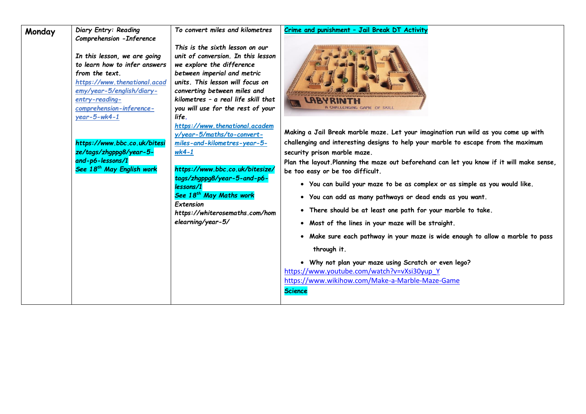| Monday | Diary Entry: Reading<br>Comprehension - Inference<br>In this lesson, we are going<br>to learn how to infer answers<br>from the text.<br>https://www.thenational.acad<br>emy/year-5/english/diary-<br>entry-reading-<br>comprehension-inference-<br>$year - 5 - wk - 1$<br>https://www.bbc.co.uk/bitesi<br>ze/tags/zhgppg8/year-5-<br>and-p6-lessons/1<br>See 18 <sup>th</sup> May English work | To convert miles and kilometres<br>This is the sixth lesson on our<br>unit of conversion. In this lesson<br>we explore the difference<br>between imperial and metric<br>units. This lesson will focus on<br>converting between miles and<br>kilometres - a real life skill that<br>you will use for the rest of your<br>life.<br>https://www.thenational.academ<br>y/year-5/maths/to-convert-<br>miles-and-kilometres-year-5-<br>$wk4-1$<br>https://www.bbc.co.uk/bitesize/<br>tags/zhgppg8/year-5-and-p6-<br>lessons/1<br>See 18 <sup>th</sup> May Maths work<br>Extension<br>https://whiterosemaths.com/hom<br>elearning/year-5/ | Crime and punishment - Jail Break DT Activity<br><b>LABY RINTH</b><br>GAME OF SKILL<br>Making a Jail Break marble maze. Let your imagination run wild as you come up with<br>challenging and interesting designs to help your marble to escape from the maximum<br>security prison marble maze.<br>Plan the layout.Planning the maze out beforehand can let you know if it will make sense,<br>be too easy or be too difficult.<br>. You can build your maze to be as complex or as simple as you would like.<br>. You can add as many pathways or dead ends as you want.<br>• There should be at least one path for your marble to take.<br>• Most of the lines in your maze will be straight.<br>. Make sure each pathway in your maze is wide enough to allow a marble to pass<br>through it.<br>. Why not plan your maze using Scratch or even lego?<br>https://www.youtube.com/watch?v=vXsi30yup Y<br>https://www.wikihow.com/Make-a-Marble-Maze-Game<br><b>Science</b> |
|--------|------------------------------------------------------------------------------------------------------------------------------------------------------------------------------------------------------------------------------------------------------------------------------------------------------------------------------------------------------------------------------------------------|------------------------------------------------------------------------------------------------------------------------------------------------------------------------------------------------------------------------------------------------------------------------------------------------------------------------------------------------------------------------------------------------------------------------------------------------------------------------------------------------------------------------------------------------------------------------------------------------------------------------------------|------------------------------------------------------------------------------------------------------------------------------------------------------------------------------------------------------------------------------------------------------------------------------------------------------------------------------------------------------------------------------------------------------------------------------------------------------------------------------------------------------------------------------------------------------------------------------------------------------------------------------------------------------------------------------------------------------------------------------------------------------------------------------------------------------------------------------------------------------------------------------------------------------------------------------------------------------------------------------|
|--------|------------------------------------------------------------------------------------------------------------------------------------------------------------------------------------------------------------------------------------------------------------------------------------------------------------------------------------------------------------------------------------------------|------------------------------------------------------------------------------------------------------------------------------------------------------------------------------------------------------------------------------------------------------------------------------------------------------------------------------------------------------------------------------------------------------------------------------------------------------------------------------------------------------------------------------------------------------------------------------------------------------------------------------------|------------------------------------------------------------------------------------------------------------------------------------------------------------------------------------------------------------------------------------------------------------------------------------------------------------------------------------------------------------------------------------------------------------------------------------------------------------------------------------------------------------------------------------------------------------------------------------------------------------------------------------------------------------------------------------------------------------------------------------------------------------------------------------------------------------------------------------------------------------------------------------------------------------------------------------------------------------------------------|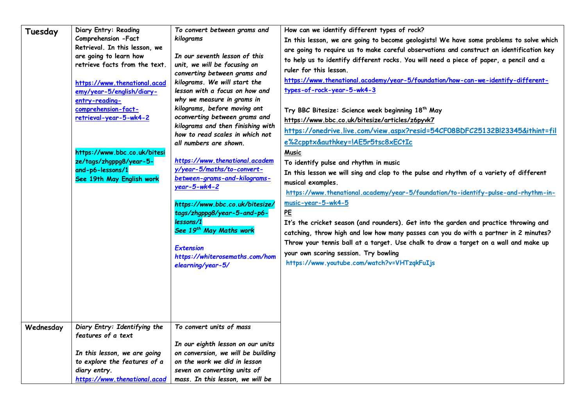| Tuesday   | Diary Entry: Reading<br>Comprehension - Fact<br>Retrieval. In this lesson, we<br>are going to learn how<br>retrieve facts from the text.<br>https://www.thenational.acad<br>emy/year-5/english/diary-<br>entry-reading-<br>comprehension-fact-<br>retrieval-year-5-wk4-2<br>https://www.bbc.co.uk/bitesi<br>ze/tags/zhgppg8/year-5-<br>and-p6-lessons/1<br>See 19th May English work | To convert between grams and<br>kilograms<br>In our seventh lesson of this<br>unit, we will be focusing on<br>converting between grams and<br>kilograms. We will start the<br>lesson with a focus on how and<br>why we measure in grams in<br>kilograms, before moving ont<br>oconverting between grams and<br>kilograms and then finishing with<br>how to read scales in which not<br>all numbers are shown.<br>https://www.thenational.academ<br>y/year-5/maths/to-convert-<br>between-grams-and-kilograms-<br>$year-5-wk4-2$<br>https://www.bbc.co.uk/bitesize/<br>tags/zhgppg8/year-5-and-p6-<br>lessons/1<br>See 19th May Maths work<br><b>Extension</b><br>https://whiterosemaths.com/hom<br>elearning/year-5/ | How can we identify different types of rock?<br>In this lesson, we are going to become geologists! We have some problems to solve which<br>are going to require us to make careful observations and construct an identification key<br>to help us to identify different rocks. You will need a piece of paper, a pencil and a<br>ruler for this lesson.<br>https://www.thenational.academy/year-5/foundation/how-can-we-identify-different-<br>types-of-rock-year-5-wk4-3<br>Try BBC Bitesize: Science week beginning 18th May<br>https://www.bbc.co.uk/bitesize/articles/z6pyvk7<br>https://onedrive.live.com/view.aspx?resid=54CF08BDFC25132Bl23345&ithint=fil<br>e%2cpptx&authkey=!AE5r5tsc8xECtIc<br><b>Music</b><br>To identify pulse and rhythm in music<br>In this lesson we will sing and clap to the pulse and rhythm of a variety of different<br>musical examples.<br>https://www.thenational.academy/year-5/foundation/to-identify-pulse-and-rhythm-in-<br>music-year-5-wk4-5<br>PE<br>It's the cricket season (and rounders). Get into the garden and practice throwing and<br>catching, throw high and low how many passes can you do with a partner in 2 minutes?<br>Throw your tennis ball at a target. Use chalk to draw a target on a wall and make up<br>your own scoring session. Try bowling<br>https://www.youtube.com/watch?v=VHTzqkFuIjs |
|-----------|--------------------------------------------------------------------------------------------------------------------------------------------------------------------------------------------------------------------------------------------------------------------------------------------------------------------------------------------------------------------------------------|----------------------------------------------------------------------------------------------------------------------------------------------------------------------------------------------------------------------------------------------------------------------------------------------------------------------------------------------------------------------------------------------------------------------------------------------------------------------------------------------------------------------------------------------------------------------------------------------------------------------------------------------------------------------------------------------------------------------|------------------------------------------------------------------------------------------------------------------------------------------------------------------------------------------------------------------------------------------------------------------------------------------------------------------------------------------------------------------------------------------------------------------------------------------------------------------------------------------------------------------------------------------------------------------------------------------------------------------------------------------------------------------------------------------------------------------------------------------------------------------------------------------------------------------------------------------------------------------------------------------------------------------------------------------------------------------------------------------------------------------------------------------------------------------------------------------------------------------------------------------------------------------------------------------------------------------------------------------------------------------------------------------------------------------------------------------------------------------|
| Wednesday | Diary Entry: Identifying the<br>features of a text<br>In this lesson, we are going<br>to explore the features of a<br>diary entry.                                                                                                                                                                                                                                                   | To convert units of mass<br>In our eighth lesson on our units<br>on conversion, we will be building<br>on the work we did in lesson<br>seven on converting units of                                                                                                                                                                                                                                                                                                                                                                                                                                                                                                                                                  |                                                                                                                                                                                                                                                                                                                                                                                                                                                                                                                                                                                                                                                                                                                                                                                                                                                                                                                                                                                                                                                                                                                                                                                                                                                                                                                                                                  |
|           | https://www.thenational.acad                                                                                                                                                                                                                                                                                                                                                         | mass. In this lesson, we will be                                                                                                                                                                                                                                                                                                                                                                                                                                                                                                                                                                                                                                                                                     |                                                                                                                                                                                                                                                                                                                                                                                                                                                                                                                                                                                                                                                                                                                                                                                                                                                                                                                                                                                                                                                                                                                                                                                                                                                                                                                                                                  |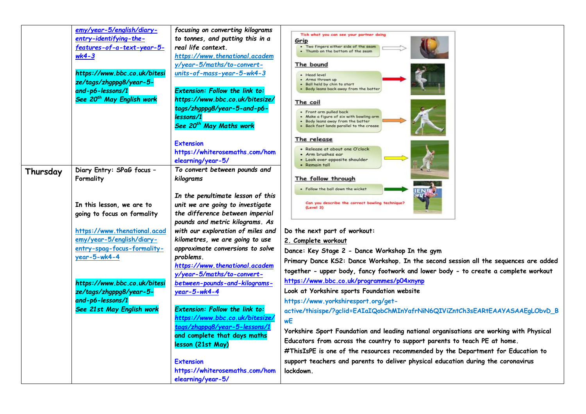|          | emy/year-5/english/diary-<br>entry-identifying-the- | focusing on converting kilograms<br>to tonnes, and putting this in a | Tick what you can see your partner doing                                                |
|----------|-----------------------------------------------------|----------------------------------------------------------------------|-----------------------------------------------------------------------------------------|
|          |                                                     | real life context.                                                   | Grip<br>. Two fingers either side of the seam                                           |
|          | features-of-a-text-year-5-                          |                                                                      | . Thumb on the bottom of the seam                                                       |
|          | $wk4-3$                                             | https://www.thenational.academ<br>y/year-5/maths/to-convert-         | The bound                                                                               |
|          | https://www.bbc.co.uk/bitesi                        | units-of-mass-year-5-wk4-3                                           |                                                                                         |
|          | ze/tags/zhgppg8/year-5-                             |                                                                      | • Head level<br>• Arms thrown up                                                        |
|          | and-p6-lessons/1                                    | <b>Extension: Follow the link to:</b>                                | . Ball held by chin to start<br>. Body leans back away from the batter                  |
|          | See 20 <sup>th</sup> May English work               | https://www.bbc.co.uk/bitesize/                                      |                                                                                         |
|          |                                                     | tags/zhgppg8/year-5-and-p6-                                          | The coil                                                                                |
|          |                                                     | lessons/1                                                            | • Front arm pulled back<br>. Make a figure of six with bowling arm                      |
|          |                                                     | See 20 <sup>th</sup> May Maths work                                  | Body leans away from the batter<br>Back foot lands parallel to the crease               |
|          |                                                     |                                                                      |                                                                                         |
|          |                                                     | <b>Extension</b>                                                     | The release                                                                             |
|          |                                                     | https://whiterosemaths.com/hom                                       | • Release at about one O'clock                                                          |
|          |                                                     | elearning/year-5/                                                    | • Arm brushes ear<br>• Look over opposite shoulder                                      |
|          | Diary Entry: SPaG focus -                           | To convert between pounds and                                        | • Remain tall                                                                           |
| Thursday | Formality                                           | kilograms                                                            | The follow through                                                                      |
|          |                                                     |                                                                      | . Follow the ball down the wicket                                                       |
|          |                                                     | In the penultimate lesson of this                                    |                                                                                         |
|          | In this lesson, we are to                           | unit we are going to investigate                                     | Can you describe the correct bowling technique                                          |
|          | going to focus on formality                         | the difference between imperial                                      | (Level 3)                                                                               |
|          |                                                     | pounds and metric kilograms. As                                      |                                                                                         |
|          | https://www.thenational.acad                        | with our exploration of miles and                                    | Do the next part of workout:                                                            |
|          | emy/year-5/english/diary-                           | kilometres, we are going to use                                      | 2. Complete workout                                                                     |
|          | entry-spag-focus-formality-                         | approximate conversions to solve                                     | Dance: Key Stage 2 - Dance Workshop In the gym                                          |
|          | $year-5-wk4-4$                                      | problems.                                                            |                                                                                         |
|          |                                                     | https://www.thenational.academ                                       | Primary Dance KS2: Dance Workshop. In the second session all the sequences are added    |
|          |                                                     | y/year-5/maths/to-convert-                                           | together - upper body, fancy footwork and lower body - to create a complete workout     |
|          | https://www.bbc.co.uk/bitesi                        | between-pounds-and-kilograms-                                        | https://www.bbc.co.uk/programmes/p04xnynp                                               |
|          | ze/tags/zhgppg8/year-5-                             | year-5-wk4-4                                                         | Look at Yorkshire sports Foundation website                                             |
|          | and-p6-lessons/1                                    |                                                                      | https://www.yorkshiresport.org/get-                                                     |
|          | See 21st May English work                           | <b>Extension: Follow the link to:</b>                                | active/thisispe/?gclid=EAIaIQobChMInYafrNiN6QIViZntCh3sEARtEAAYASAAEgLObvD_B            |
|          |                                                     | https://www.bbc.co.uk/bitesize/                                      | wE                                                                                      |
|          |                                                     | taas/zhappa8/vear-5-lessons/                                         | Yorkshire Sport Foundation and leading national organisations are working with Physical |
|          |                                                     | and complete that days maths                                         | Educators from across the country to support parents to teach PE at home.               |
|          |                                                     | lesson (21st May)                                                    |                                                                                         |
|          |                                                     |                                                                      | #ThisIsPE is one of the resources recommended by the Department for Education to        |
|          |                                                     | <b>Extension</b>                                                     | support teachers and parents to deliver physical education during the coronavirus       |
|          |                                                     | https://whiterosemaths.com/hom                                       | lockdown.                                                                               |
|          |                                                     | elearning/year-5/                                                    |                                                                                         |